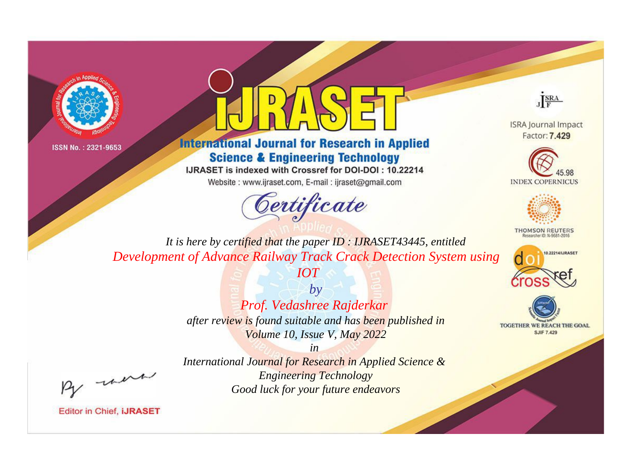



**International Journal for Research in Applied Science & Engineering Technology** 

IJRASET is indexed with Crossref for DOI-DOI: 10.22214

Website: www.ijraset.com, E-mail: ijraset@gmail.com





**ISRA Journal Impact** Factor: 7.429





**THOMSON REUTERS** 



TOGETHER WE REACH THE GOAL **SJIF 7.429** 

*It is here by certified that the paper ID : IJRASET43445, entitled Development of Advance Railway Track Crack Detection System using* 

*IOT*

*by Prof. Vedashree Rajderkar after review is found suitable and has been published in Volume 10, Issue V, May 2022*

, were

*International Journal for Research in Applied Science & Engineering Technology Good luck for your future endeavors*

*in*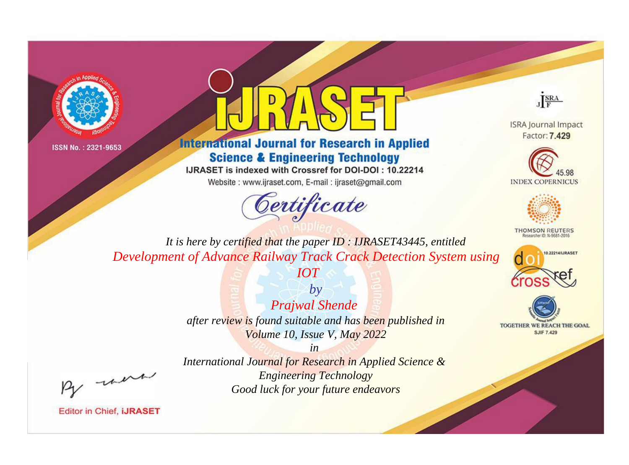



**International Journal for Research in Applied Science & Engineering Technology** 

IJRASET is indexed with Crossref for DOI-DOI: 10.22214

Website: www.ijraset.com, E-mail: ijraset@gmail.com



JERA

**ISRA Journal Impact** Factor: 7.429





**THOMSON REUTERS** 



TOGETHER WE REACH THE GOAL **SJIF 7.429** 

It is here by certified that the paper ID: IJRASET43445, entitled Development of Advance Railway Track Crack Detection System using

**IOT** 

 $b\nu$ **Prajwal Shende** after review is found suitable and has been published in Volume 10, Issue V, May 2022

 $in$ 

were

International Journal for Research in Applied Science & **Engineering Technology** Good luck for your future endeavors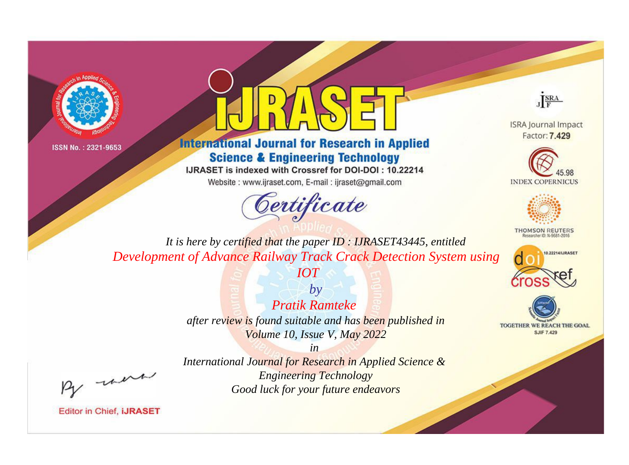



**International Journal for Research in Applied Science & Engineering Technology** 

IJRASET is indexed with Crossref for DOI-DOI: 10.22214

Website: www.ijraset.com, E-mail: ijraset@gmail.com



JERA

**ISRA Journal Impact** Factor: 7.429





**THOMSON REUTERS** 



TOGETHER WE REACH THE GOAL **SJIF 7.429** 

It is here by certified that the paper ID: IJRASET43445, entitled Development of Advance Railway Track Crack Detection System using

**IOT** 

 $b\nu$ **Pratik Ramteke** after review is found suitable and has been published in Volume 10, Issue V, May 2022

were

International Journal for Research in Applied Science & **Engineering Technology** Good luck for your future endeavors

 $in$